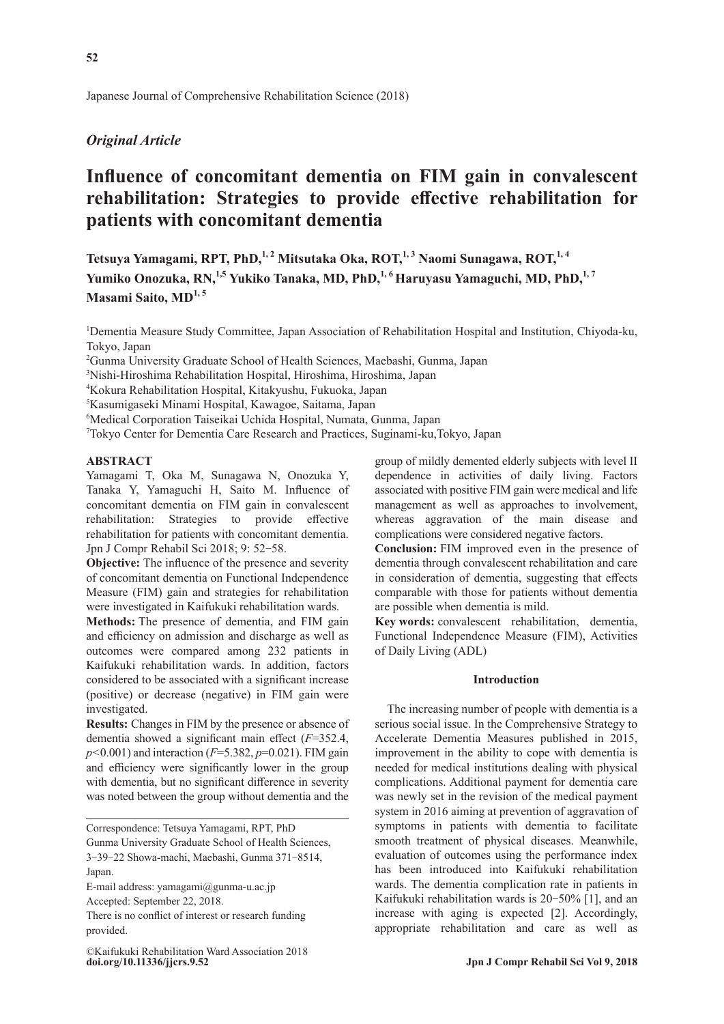## *Original Article*

# **Influence of concomitant dementia on FIM gain in convalescent rehabilitation: Strategies to provide effective rehabilitation for patients with concomitant dementia**

Tetsuya Yamagami, RPT, PhD,<sup>1,2</sup> Mitsutaka Oka, ROT,<sup>1,3</sup> Naomi Sunagawa, ROT,<sup>1,4</sup> Yumiko Onozuka, RN,<sup>1,5</sup> Yukiko Tanaka, MD, PhD,<sup>1,6</sup> Haruyasu Yamaguchi, MD, PhD,<sup>1,7</sup> Masami Saito, MD<sup>1,5</sup>

1 Dementia Measure Study Committee, Japan Association of Rehabilitation Hospital and Institution, Chiyoda-ku, Tokyo, Japan

2 Gunma University Graduate School of Health Sciences, Maebashi, Gunma, Japan

3 Nishi-Hiroshima Rehabilitation Hospital, Hiroshima, Hiroshima, Japan

4 Kokura Rehabilitation Hospital, Kitakyushu, Fukuoka, Japan

5 Kasumigaseki Minami Hospital, Kawagoe, Saitama, Japan

6 Medical Corporation Taiseikai Uchida Hospital, Numata, Gunma, Japan

7 Tokyo Center for Dementia Care Research and Practices, Suginami-ku,Tokyo, Japan

## **ABSTRACT**

Yamagami T, Oka M, Sunagawa N, Onozuka Y, Tanaka Y, Yamaguchi H, Saito M. Influence of concomitant dementia on FIM gain in convalescent rehabilitation: Strategies to provide effective rehabilitation for patients with concomitant dementia. Jpn J Compr Rehabil Sci 2018; 9: 52-58.

**Objective:** The influence of the presence and severity of concomitant dementia on Functional Independence Measure (FIM) gain and strategies for rehabilitation were investigated in Kaifukuki rehabilitation wards.

**Methods:** The presence of dementia, and FIM gain and efficiency on admission and discharge as well as outcomes were compared among 232 patients in Kaifukuki rehabilitation wards. In addition, factors considered to be associated with a significant increase (positive) or decrease (negative) in FIM gain were investigated.

**Results:** Changes in FIM by the presence or absence of dementia showed a significant main effect (*F*=352.4, *p<*0.001) and interaction (*F*=5.382, *p*=0.021). FIM gain and efficiency were significantly lower in the group with dementia, but no significant difference in severity was noted between the group without dementia and the

Correspondence: Tetsuya Yamagami, RPT, PhD Gunma University Graduate School of Health Sciences, 3-39-22 Showa-machi, Maebashi, Gunma 371-8514, Japan.

E-mail address: yamagami@gunma-u.ac.jp

Accepted: September 22, 2018.

There is no conflict of interest or research funding provided.

**doi.org/10.11336/jjcrs.9.52** ©Kaifukuki Rehabilitation Ward Association 2018 group of mildly demented elderly subjects with level II dependence in activities of daily living. Factors associated with positive FIM gain were medical and life management as well as approaches to involvement, whereas aggravation of the main disease and complications were considered negative factors.

**Conclusion:** FIM improved even in the presence of dementia through convalescent rehabilitation and care in consideration of dementia, suggesting that effects comparable with those for patients without dementia are possible when dementia is mild.

**Key words:** convalescent rehabilitation, dementia, Functional Independence Measure (FIM), Activities of Daily Living (ADL)

#### **Introduction**

The increasing number of people with dementia is a serious social issue. In the Comprehensive Strategy to Accelerate Dementia Measures published in 2015, improvement in the ability to cope with dementia is needed for medical institutions dealing with physical complications. Additional payment for dementia care was newly set in the revision of the medical payment system in 2016 aiming at prevention of aggravation of symptoms in patients with dementia to facilitate smooth treatment of physical diseases. Meanwhile, evaluation of outcomes using the performance index has been introduced into Kaifukuki rehabilitation wards. The dementia complication rate in patients in Kaifukuki rehabilitation wards is 20-50% [1], and an increase with aging is expected [2]. Accordingly, appropriate rehabilitation and care as well as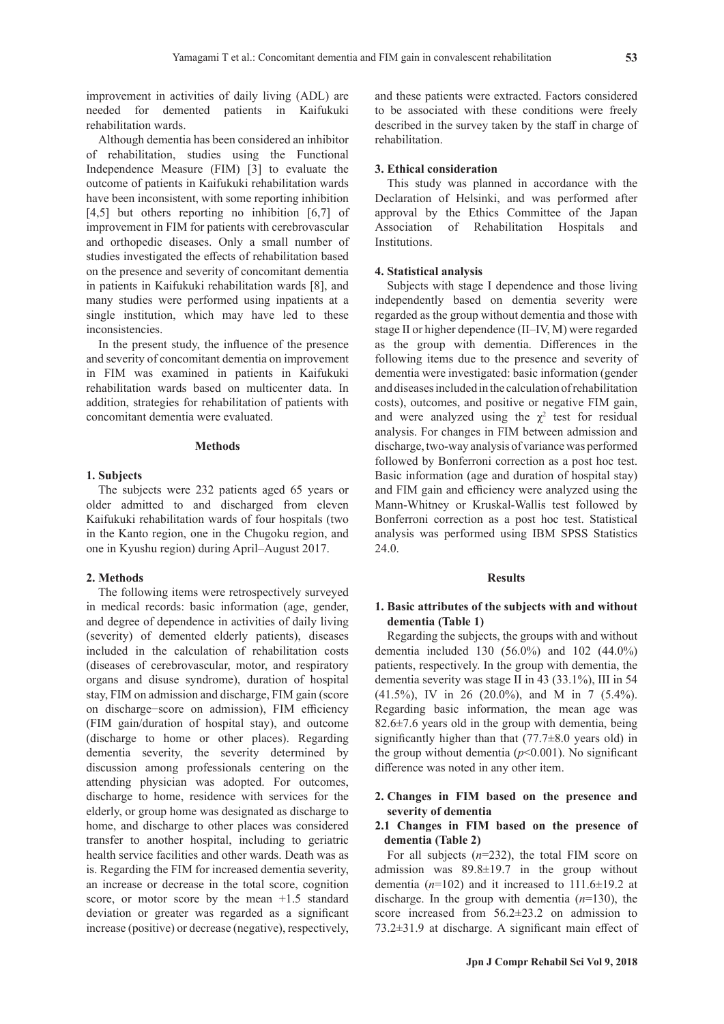improvement in activities of daily living (ADL) are needed for demented patients in Kaifukuki rehabilitation wards.

Although dementia has been considered an inhibitor of rehabilitation, studies using the Functional Independence Measure (FIM) [3] to evaluate the outcome of patients in Kaifukuki rehabilitation wards have been inconsistent, with some reporting inhibition [4,5] but others reporting no inhibition [6,7] of improvement in FIM for patients with cerebrovascular and orthopedic diseases. Only a small number of studies investigated the effects of rehabilitation based on the presence and severity of concomitant dementia in patients in Kaifukuki rehabilitation wards [8], and many studies were performed using inpatients at a single institution, which may have led to these inconsistencies.

In the present study, the influence of the presence and severity of concomitant dementia on improvement in FIM was examined in patients in Kaifukuki rehabilitation wards based on multicenter data. In addition, strategies for rehabilitation of patients with concomitant dementia were evaluated.

#### **Methods**

## **1. Subjects**

The subjects were 232 patients aged 65 years or older admitted to and discharged from eleven Kaifukuki rehabilitation wards of four hospitals (two in the Kanto region, one in the Chugoku region, and one in Kyushu region) during April–August 2017.

## **2. Methods**

The following items were retrospectively surveyed in medical records: basic information (age, gender, and degree of dependence in activities of daily living (severity) of demented elderly patients), diseases included in the calculation of rehabilitation costs (diseases of cerebrovascular, motor, and respiratory organs and disuse syndrome), duration of hospital stay, FIM on admission and discharge, FIM gain (score on discharge−score on admission), FIM efficiency (FIM gain/duration of hospital stay), and outcome (discharge to home or other places). Regarding dementia severity, the severity determined by discussion among professionals centering on the attending physician was adopted. For outcomes, discharge to home, residence with services for the elderly, or group home was designated as discharge to home, and discharge to other places was considered transfer to another hospital, including to geriatric health service facilities and other wards. Death was as is. Regarding the FIM for increased dementia severity, an increase or decrease in the total score, cognition score, or motor score by the mean +1.5 standard deviation or greater was regarded as a significant increase (positive) or decrease (negative), respectively, and these patients were extracted. Factors considered to be associated with these conditions were freely described in the survey taken by the staff in charge of rehabilitation.

## **3. Ethical consideration**

This study was planned in accordance with the Declaration of Helsinki, and was performed after approval by the Ethics Committee of the Japan Association of Rehabilitation Hospitals and Institutions.

#### **4. Statistical analysis**

Subjects with stage I dependence and those living independently based on dementia severity were regarded as the group without dementia and those with stage II or higher dependence (II–IV, M) were regarded as the group with dementia. Differences in the following items due to the presence and severity of dementia were investigated: basic information (gender and diseases included in the calculation of rehabilitation costs), outcomes, and positive or negative FIM gain, and were analyzed using the  $\chi^2$  test for residual analysis. For changes in FIM between admission and discharge, two-way analysis of variance was performed followed by Bonferroni correction as a post hoc test. Basic information (age and duration of hospital stay) and FIM gain and efficiency were analyzed using the Mann-Whitney or Kruskal-Wallis test followed by Bonferroni correction as a post hoc test. Statistical analysis was performed using IBM SPSS Statistics 24.0.

## **Results**

## **1. Basic attributes of the subjects with and without dementia (Table 1)**

Regarding the subjects, the groups with and without dementia included 130 (56.0%) and 102 (44.0%) patients, respectively. In the group with dementia, the dementia severity was stage II in 43 (33.1%), III in 54 (41.5%), IV in 26 (20.0%), and M in 7 (5.4%). Regarding basic information, the mean age was  $82.6 \pm 7.6$  years old in the group with dementia, being significantly higher than that  $(77.7\pm8.0$  years old) in the group without dementia  $(p<0.001)$ . No significant difference was noted in any other item.

## **2. Changes in FIM based on the presence and severity of dementia**

## **2.1 Changes in FIM based on the presence of dementia (Table 2)**

For all subjects (*n*=232), the total FIM score on admission was 89.8±19.7 in the group without dementia  $(n=102)$  and it increased to  $111.6\pm19.2$  at discharge. In the group with dementia (*n*=130), the score increased from 56.2±23.2 on admission to 73.2±31.9 at discharge. A significant main effect of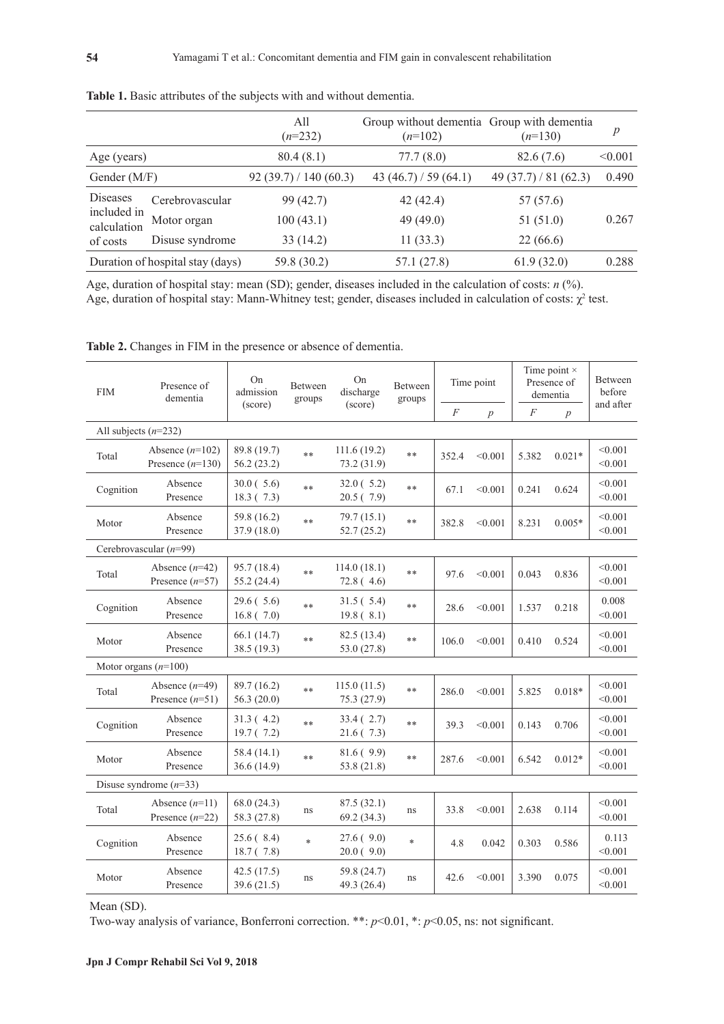|                                                           |                 | All<br>$(n=232)$   | Group without dementia Group with dementia<br>$(n=102)$ | $(n=130)$         | p       |
|-----------------------------------------------------------|-----------------|--------------------|---------------------------------------------------------|-------------------|---------|
| Age (years)                                               |                 | 80.4(8.1)          | 77.7(8.0)                                               | 82.6(7.6)         | < 0.001 |
| Gender (M/F)                                              |                 | 92(39.7)/140(60.3) | 43 $(46.7) / 59 (64.1)$                                 | 49(37.7)/81(62.3) | 0.490   |
| <b>Diseases</b><br>included in<br>calculation<br>of costs | Cerebrovascular | 99 (42.7)          | 42(42.4)                                                | 57 (57.6)         |         |
|                                                           | Motor organ     | 100(43.1)          | 49(49.0)                                                | 51(51.0)          | 0.267   |
|                                                           | Disuse syndrome | 33(14.2)           | 11(33.3)                                                | 22(66.6)          |         |
| Duration of hospital stay (days)                          |                 | 59.8 (30.2)        | 57.1(27.8)                                              | 61.9(32.0)        | 0.288   |

**Table 1.** Basic attributes of the subjects with and without dementia.

Age, duration of hospital stay: mean (SD); gender, diseases included in the calculation of costs: *n* (%). Age, duration of hospital stay: Mann-Whitney test; gender, diseases included in calculation of costs:  $\chi^2$  test.

| <b>FIM</b>               | On<br>On<br>Presence of<br>Between<br>admission<br>discharge<br>dementia<br>groups<br>(score)<br>(score) |                              | Between<br>groups | Time point                 |        | Time point $\times$<br>Presence of<br>dementia |                  | Between<br>before<br>and after |                  |                    |
|--------------------------|----------------------------------------------------------------------------------------------------------|------------------------------|-------------------|----------------------------|--------|------------------------------------------------|------------------|--------------------------------|------------------|--------------------|
|                          |                                                                                                          |                              |                   |                            |        | $\cal F$                                       | $\boldsymbol{p}$ | $\boldsymbol{F}$               | $\boldsymbol{p}$ |                    |
| All subjects $(n=232)$   |                                                                                                          |                              |                   |                            |        |                                                |                  |                                |                  |                    |
| Total                    | Absence $(n=102)$<br>Presence $(n=130)$                                                                  | 89.8 (19.7)<br>56.2 (23.2)   | $**$              | 111.6(19.2)<br>73.2 (31.9) | $**$   | 352.4                                          | < 0.001          | 5.382                          | $0.021*$         | < 0.001<br>< 0.001 |
| Cognition                | Absence<br>Presence                                                                                      | 30.0(5.6)<br>18.3(7.3)       | $***$             | 32.0(5.2)<br>20.5(7.9)     | $***$  | 67.1                                           | < 0.001          | 0.241                          | 0.624            | < 0.001<br>< 0.001 |
| Motor                    | Absence<br>Presence                                                                                      | 59.8 (16.2)<br>37.9 (18.0)   | $***$             | 79.7(15.1)<br>52.7(25.2)   | $***$  | 382.8                                          | < 0.001          | 8.231                          | $0.005*$         | < 0.001<br>< 0.001 |
|                          | Cerebrovascular $(n=99)$                                                                                 |                              |                   |                            |        |                                                |                  |                                |                  |                    |
| Total                    | Absence $(n=42)$<br>Presence $(n=57)$                                                                    | 95.7 (18.4)<br>55.2 (24.4)   | $***$             | 114.0(18.1)<br>72.8(4.6)   | $**$   | 97.6                                           | < 0.001          | 0.043                          | 0.836            | < 0.001<br>< 0.001 |
| Cognition                | Absence<br>Presence                                                                                      | 29.6(5.6)<br>16.8(7.0)       | $***$             | 31.5(5.4)<br>19.8(8.1)     | $**$   | 28.6                                           | < 0.001          | 1.537                          | 0.218            | 0.008<br>< 0.001   |
| Motor                    | Absence<br>Presence                                                                                      | 66.1(14.7)<br>38.5 (19.3)    | $***$             | 82.5 (13.4)<br>53.0(27.8)  | $**$   | 106.0                                          | < 0.001          | 0.410                          | 0.524            | < 0.001<br>< 0.001 |
| Motor organs $(n=100)$   |                                                                                                          |                              |                   |                            |        |                                                |                  |                                |                  |                    |
| Total                    | Absence $(n=49)$<br>Presence $(n=51)$                                                                    | 89.7 (16.2)<br>56.3(20.0)    | $***$             | 115.0(11.5)<br>75.3 (27.9) | $**$   | 286.0                                          | < 0.001          | 5.825                          | $0.018*$         | < 0.001<br>< 0.001 |
| Cognition                | Absence<br>Presence                                                                                      | 31.3(4.2)<br>19.7(7.2)       | $***$             | 33.4 (2.7)<br>21.6(7.3)    | $***$  | 39.3                                           | < 0.001          | 0.143                          | 0.706            | < 0.001<br>< 0.001 |
| Motor                    | Absence<br>Presence                                                                                      | 58.4 (14.1)<br>36.6(14.9)    | $***$             | 81.6(9.9)<br>53.8 (21.8)   | $**$   | 287.6                                          | < 0.001          | 6.542                          | $0.012*$         | < 0.001<br>< 0.001 |
| Disuse syndrome $(n=33)$ |                                                                                                          |                              |                   |                            |        |                                                |                  |                                |                  |                    |
| Total                    | Absence $(n=11)$<br>Presence $(n=22)$                                                                    | 68.0(24.3)<br>58.3 (27.8)    | ns.               | 87.5(32.1)<br>69.2(34.3)   | ns     | 33.8                                           | < 0.001          | 2.638                          | 0.114            | < 0.001<br>< 0.001 |
| Cognition                | Absence<br>Presence                                                                                      | 25.6(8.4)<br>18.7(7.8)       | $\ast$            | 27.6(9.0)<br>20.0(9.0)     | $\ast$ | 4.8                                            | 0.042            | 0.303                          | 0.586            | 0.113<br>< 0.001   |
| Motor                    | Absence<br>Presence                                                                                      | 42.5 $(17.5)$<br>39.6 (21.5) | ns                | 59.8 (24.7)<br>49.3 (26.4) | ns.    | 42.6                                           | < 0.001          | 3.390                          | 0.075            | < 0.001<br>< 0.001 |

**Table 2.** Changes in FIM in the presence or absence of dementia.

Mean (SD).

Two-way analysis of variance, Bonferroni correction. \*\*: *p*<0.01, \*: *p*<0.05, ns: not significant.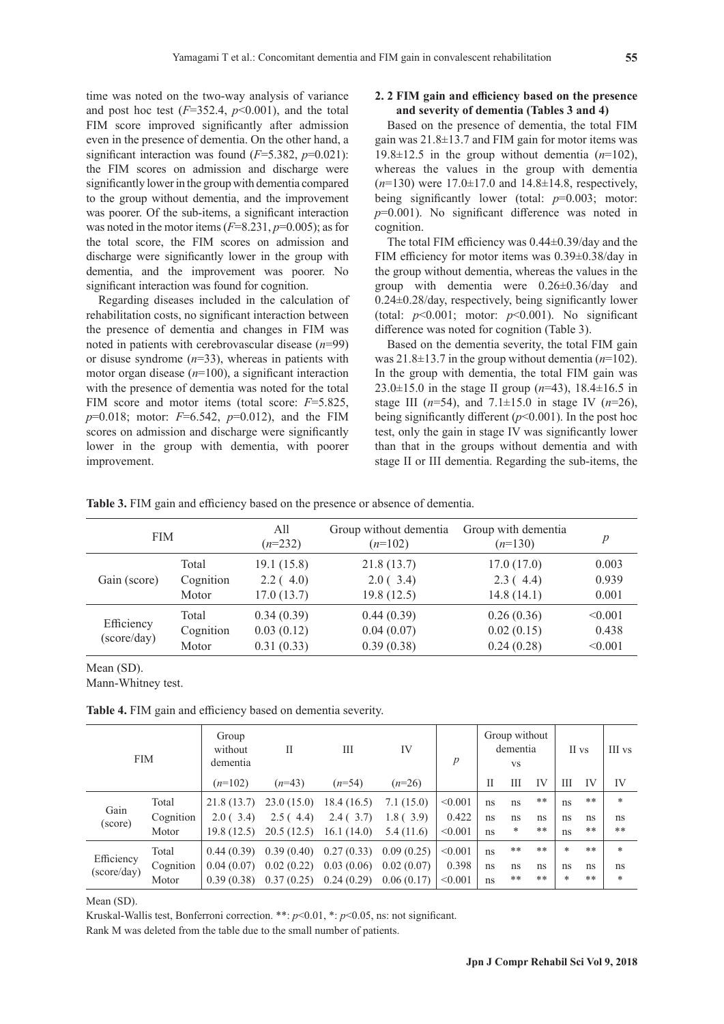time was noted on the two-way analysis of variance and post hoc test  $(F=352.4, p<0.001)$ , and the total FIM score improved significantly after admission even in the presence of dementia. On the other hand, a significant interaction was found (*F*=5.382, *p*=0.021): the FIM scores on admission and discharge were significantly lower in the group with dementia compared to the group without dementia, and the improvement was poorer. Of the sub-items, a significant interaction was noted in the motor items (*F*=8.231, *p*=0.005); as for the total score, the FIM scores on admission and discharge were significantly lower in the group with dementia, and the improvement was poorer. No

significant interaction was found for cognition. Regarding diseases included in the calculation of rehabilitation costs, no significant interaction between the presence of dementia and changes in FIM was noted in patients with cerebrovascular disease (*n*=99) or disuse syndrome (*n*=33), whereas in patients with motor organ disease (*n*=100), a significant interaction with the presence of dementia was noted for the total FIM score and motor items (total score: *F*=5.825, *p*=0.018; motor: *F*=6.542, *p*=0.012), and the FIM scores on admission and discharge were significantly lower in the group with dementia, with poorer improvement.

## **2. 2 FIM gain and efficiency based on the presence and severity of dementia (Tables 3 and 4)**

Based on the presence of dementia, the total FIM gain was 21.8±13.7 and FIM gain for motor items was 19.8 $\pm$ 12.5 in the group without dementia  $(n=102)$ , whereas the values in the group with dementia (*n*=130) were 17.0±17.0 and 14.8±14.8, respectively, being significantly lower (total: *p*=0.003; motor: *p*=0.001). No significant difference was noted in cognition.

The total FIM efficiency was 0.44±0.39/day and the FIM efficiency for motor items was 0.39±0.38/day in the group without dementia, whereas the values in the group with dementia were 0.26±0.36/day and 0.24±0.28/day, respectively, being significantly lower (total:  $p<0.001$ ; motor:  $p<0.001$ ). No significant difference was noted for cognition (Table 3).

Based on the dementia severity, the total FIM gain was 21.8±13.7 in the group without dementia (*n*=102). In the group with dementia, the total FIM gain was 23.0±15.0 in the stage II group (*n*=43), 18.4±16.5 in stage III ( $n=54$ ), and  $7.1\pm15.0$  in stage IV ( $n=26$ ), being significantly different (*p*<0.001). In the post hoc test, only the gain in stage IV was significantly lower than that in the groups without dementia and with stage II or III dementia. Regarding the sub-items, the

**Table 3.** FIM gain and efficiency based on the presence or absence of dementia.

| <b>FIM</b>                |                             | All<br>$(n=232)$                       | Group without dementia<br>$(n=102)$    | Group with dementia<br>$(n=130)$       | $\overline{p}$              |
|---------------------------|-----------------------------|----------------------------------------|----------------------------------------|----------------------------------------|-----------------------------|
| Gain (score)              | Total<br>Cognition<br>Motor | 19.1(15.8)<br>2.2(4.0)<br>17.0(13.7)   | 21.8(13.7)<br>2.0(3.4)<br>19.8(12.5)   | 17.0(17.0)<br>2.3(4.4)<br>14.8(14.1)   | 0.003<br>0.939<br>0.001     |
| Efficiency<br>(score/day) | Total<br>Cognition<br>Motor | 0.34(0.39)<br>0.03(0.12)<br>0.31(0.33) | 0.44(0.39)<br>0.04(0.07)<br>0.39(0.38) | 0.26(0.36)<br>0.02(0.15)<br>0.24(0.28) | < 0.001<br>0.438<br>< 0.001 |

#### Mean (SD).

Mann-Whitney test.

**Table 4.** FIM gain and efficiency based on dementia severity.

| <b>FIM</b>                |           | Group<br>without<br>dementia | $\mathbf{I}$ | Ш          | IV         | $\boldsymbol{p}$ |    | Group without<br>dementia<br><b>VS</b> |    |        | II vs | III vs |
|---------------------------|-----------|------------------------------|--------------|------------|------------|------------------|----|----------------------------------------|----|--------|-------|--------|
|                           |           | $(n=102)$                    | $(n=43)$     | $(n=54)$   | $(n=26)$   |                  | П  | Ш                                      | IV | Ш      | IV    | IV     |
| Gain<br>(score)           | Total     | 21.8(13.7)                   | 23.0(15.0)   | 18.4(16.5) | 7.1(15.0)  | < 0.001          | ns | ns                                     | ** | ns     | **    | $\ast$ |
|                           | Cognition | 2.0(3.4)                     | 2.5(4.4)     | 2.4(3.7)   | 1.8(3.9)   | 0.422            | ns | ns                                     | ns | ns     | ns    | ns     |
|                           | Motor     | 19.8(12.5)                   | 20.5(12.5)   | 16.1(14.0) | 5.4(11.6)  | < 0.001          | ns | $\ast$                                 | ** | ns     | **    | **     |
| Efficiency<br>(score/day) | Total     | 0.44(0.39)                   | 0.39(0.40)   | 0.27(0.33) | 0.09(0.25) | < 0.001          | ns | **                                     | ** | $\ast$ | **    | $\ast$ |
|                           | Cognition | 0.04(0.07)                   | 0.02(0.22)   | 0.03(0.06) | 0.02(0.07) | 0.398            | ns | ns                                     | ns | ns     | ns    | ns     |
|                           | Motor     | 0.39(0.38)                   | 0.37(0.25)   | 0.24(0.29) | 0.06(0.17) | < 0.001          | ns | **                                     | ** | *      | **    | $\ast$ |

Mean (SD).

Kruskal-Wallis test, Bonferroni correction. \*\*: *p*<0.01, \*: *p*<0.05, ns: not significant.

Rank M was deleted from the table due to the small number of patients.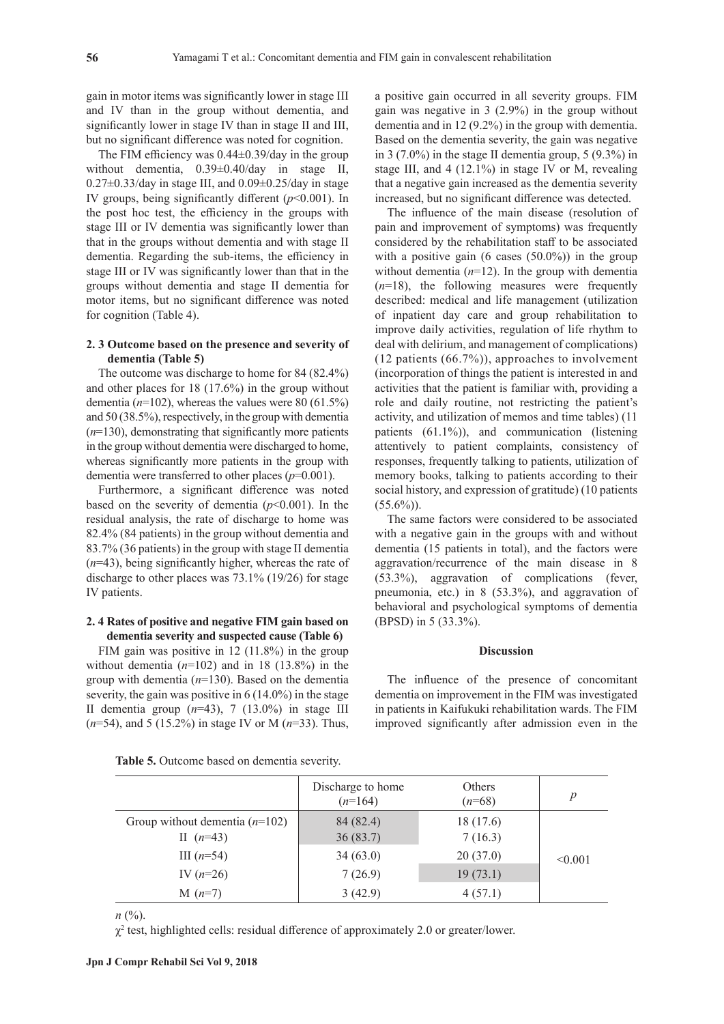gain in motor items was significantly lower in stage III and IV than in the group without dementia, and significantly lower in stage IV than in stage II and III, but no significant difference was noted for cognition.

The FIM efficiency was 0.44±0.39/day in the group without dementia, 0.39±0.40/day in stage II,  $0.27\pm0.33$ /day in stage III, and  $0.09\pm0.25$ /day in stage IV groups, being significantly different  $(p<0.001)$ . In the post hoc test, the efficiency in the groups with stage III or IV dementia was significantly lower than that in the groups without dementia and with stage II dementia. Regarding the sub-items, the efficiency in stage III or IV was significantly lower than that in the groups without dementia and stage II dementia for motor items, but no significant difference was noted for cognition (Table 4).

## **2. 3 Outcome based on the presence and severity of dementia (Table 5)**

The outcome was discharge to home for 84 (82.4%) and other places for 18 (17.6%) in the group without dementia  $(n=102)$ , whereas the values were 80 (61.5%) and 50 (38.5%), respectively, in the group with dementia (*n*=130), demonstrating that significantly more patients in the group without dementia were discharged to home, whereas significantly more patients in the group with dementia were transferred to other places (*p*=0.001).

Furthermore, a significant difference was noted based on the severity of dementia  $(p<0.001)$ . In the residual analysis, the rate of discharge to home was 82.4% (84 patients) in the group without dementia and 83.7% (36 patients) in the group with stage II dementia (*n*=43), being significantly higher, whereas the rate of discharge to other places was 73.1% (19/26) for stage IV patients.

## **2. 4 Rates of positive and negative FIM gain based on dementia severity and suspected cause (Table 6)**

FIM gain was positive in 12 (11.8%) in the group without dementia  $(n=102)$  and in 18 (13.8%) in the group with dementia (*n*=130). Based on the dementia severity, the gain was positive in 6 (14.0%) in the stage II dementia group (*n*=43), 7 (13.0%) in stage III (*n*=54), and 5 (15.2%) in stage IV or M (*n*=33). Thus,

a positive gain occurred in all severity groups. FIM gain was negative in 3 (2.9%) in the group without dementia and in 12 (9.2%) in the group with dementia. Based on the dementia severity, the gain was negative in 3 (7.0%) in the stage II dementia group, 5 (9.3%) in stage III, and 4 (12.1%) in stage IV or M, revealing that a negative gain increased as the dementia severity increased, but no significant difference was detected.

The influence of the main disease (resolution of pain and improvement of symptoms) was frequently considered by the rehabilitation staff to be associated with a positive gain (6 cases (50.0%)) in the group without dementia  $(n=12)$ . In the group with dementia  $(n=18)$ , the following measures were frequently described: medical and life management (utilization of inpatient day care and group rehabilitation to improve daily activities, regulation of life rhythm to deal with delirium, and management of complications) (12 patients (66.7%)), approaches to involvement (incorporation of things the patient is interested in and activities that the patient is familiar with, providing a role and daily routine, not restricting the patient's activity, and utilization of memos and time tables) (11 patients (61.1%)), and communication (listening attentively to patient complaints, consistency of responses, frequently talking to patients, utilization of memory books, talking to patients according to their social history, and expression of gratitude) (10 patients  $(55.6\%)$ .

The same factors were considered to be associated with a negative gain in the groups with and without dementia (15 patients in total), and the factors were aggravation/recurrence of the main disease in 8 (53.3%), aggravation of complications (fever, pneumonia, etc.) in 8 (53.3%), and aggravation of behavioral and psychological symptoms of dementia (BPSD) in 5 (33.3%).

## **Discussion**

The influence of the presence of concomitant dementia on improvement in the FIM was investigated in patients in Kaifukuki rehabilitation wards. The FIM improved significantly after admission even in the

| Table 5. Outcome based on dementia severity. |  |  |  |  |  |
|----------------------------------------------|--|--|--|--|--|
|----------------------------------------------|--|--|--|--|--|

|                                                 | Discharge to home<br>$(n=164)$ | Others<br>$(n=68)$   | p       |
|-------------------------------------------------|--------------------------------|----------------------|---------|
| Group without dementia $(n=102)$<br>II $(n=43)$ | 84 (82.4)<br>36(83.7)          | 18 (17.6)<br>7(16.3) |         |
| III $(n=54)$                                    | 34(63.0)                       | 20(37.0)             | < 0.001 |
| IV $(n=26)$                                     | 7(26.9)                        | 19(73.1)             |         |
| $M(n=7)$                                        | 3(42.9)                        | 4(57.1)              |         |

*n* (%).

 $\chi^2$  test, highlighted cells: residual difference of approximately 2.0 or greater/lower.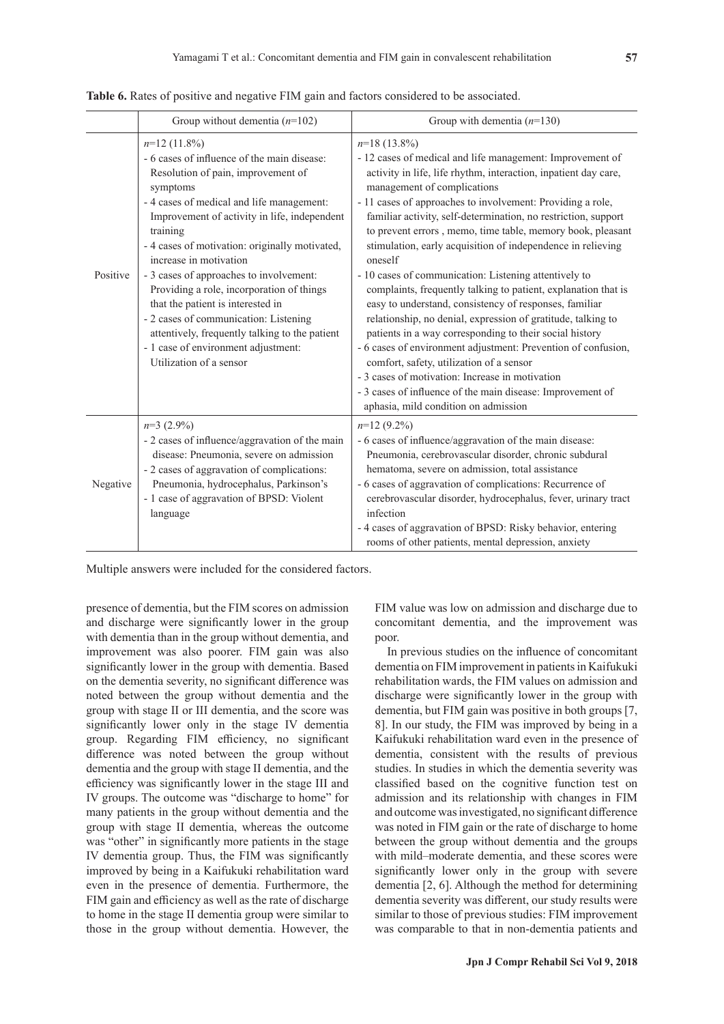|          | Group without dementia $(n=102)$                                                                                                                                                                                                                                                                                                                                                                                                                                                                                                                                                               | Group with dementia $(n=130)$                                                                                                                                                                                                                                                                                                                                                                                                                                                                                                                                                                                                                                                                                                                                                                                                                                                                                                                                                                                                               |
|----------|------------------------------------------------------------------------------------------------------------------------------------------------------------------------------------------------------------------------------------------------------------------------------------------------------------------------------------------------------------------------------------------------------------------------------------------------------------------------------------------------------------------------------------------------------------------------------------------------|---------------------------------------------------------------------------------------------------------------------------------------------------------------------------------------------------------------------------------------------------------------------------------------------------------------------------------------------------------------------------------------------------------------------------------------------------------------------------------------------------------------------------------------------------------------------------------------------------------------------------------------------------------------------------------------------------------------------------------------------------------------------------------------------------------------------------------------------------------------------------------------------------------------------------------------------------------------------------------------------------------------------------------------------|
| Positive | $n=12$ (11.8%)<br>- 6 cases of influence of the main disease:<br>Resolution of pain, improvement of<br>symptoms<br>- 4 cases of medical and life management:<br>Improvement of activity in life, independent<br>training<br>- 4 cases of motivation: originally motivated,<br>increase in motivation<br>- 3 cases of approaches to involvement:<br>Providing a role, incorporation of things<br>that the patient is interested in<br>- 2 cases of communication: Listening<br>attentively, frequently talking to the patient<br>- 1 case of environment adjustment:<br>Utilization of a sensor | $n=18(13.8\%)$<br>- 12 cases of medical and life management: Improvement of<br>activity in life, life rhythm, interaction, inpatient day care,<br>management of complications<br>- 11 cases of approaches to involvement: Providing a role,<br>familiar activity, self-determination, no restriction, support<br>to prevent errors, memo, time table, memory book, pleasant<br>stimulation, early acquisition of independence in relieving<br>oneself<br>- 10 cases of communication: Listening attentively to<br>complaints, frequently talking to patient, explanation that is<br>easy to understand, consistency of responses, familiar<br>relationship, no denial, expression of gratitude, talking to<br>patients in a way corresponding to their social history<br>- 6 cases of environment adjustment: Prevention of confusion,<br>comfort, safety, utilization of a sensor<br>- 3 cases of motivation: Increase in motivation<br>- 3 cases of influence of the main disease: Improvement of<br>aphasia, mild condition on admission |
| Negative | $n=3$ (2.9%)<br>- 2 cases of influence/aggravation of the main<br>disease: Pneumonia, severe on admission<br>- 2 cases of aggravation of complications:<br>Pneumonia, hydrocephalus, Parkinson's<br>- 1 case of aggravation of BPSD: Violent<br>language                                                                                                                                                                                                                                                                                                                                       | $n=12(9.2\%)$<br>- 6 cases of influence/aggravation of the main disease:<br>Pneumonia, cerebrovascular disorder, chronic subdural<br>hematoma, severe on admission, total assistance<br>- 6 cases of aggravation of complications: Recurrence of<br>cerebrovascular disorder, hydrocephalus, fever, urinary tract<br>infection<br>- 4 cases of aggravation of BPSD: Risky behavior, entering<br>rooms of other patients, mental depression, anxiety                                                                                                                                                                                                                                                                                                                                                                                                                                                                                                                                                                                         |

**Table 6.** Rates of positive and negative FIM gain and factors considered to be associated.

Multiple answers were included for the considered factors.

presence of dementia, but the FIM scores on admission and discharge were significantly lower in the group with dementia than in the group without dementia, and improvement was also poorer. FIM gain was also significantly lower in the group with dementia. Based on the dementia severity, no significant difference was noted between the group without dementia and the group with stage II or III dementia, and the score was significantly lower only in the stage IV dementia group. Regarding FIM efficiency, no significant difference was noted between the group without dementia and the group with stage II dementia, and the efficiency was significantly lower in the stage III and IV groups. The outcome was "discharge to home" for many patients in the group without dementia and the group with stage II dementia, whereas the outcome was "other" in significantly more patients in the stage IV dementia group. Thus, the FIM was significantly improved by being in a Kaifukuki rehabilitation ward even in the presence of dementia. Furthermore, the FIM gain and efficiency as well as the rate of discharge to home in the stage II dementia group were similar to those in the group without dementia. However, the FIM value was low on admission and discharge due to concomitant dementia, and the improvement was poor.

In previous studies on the influence of concomitant dementia on FIM improvement in patients in Kaifukuki rehabilitation wards, the FIM values on admission and discharge were significantly lower in the group with dementia, but FIM gain was positive in both groups [7, 8]. In our study, the FIM was improved by being in a Kaifukuki rehabilitation ward even in the presence of dementia, consistent with the results of previous studies. In studies in which the dementia severity was classified based on the cognitive function test on admission and its relationship with changes in FIM and outcome was investigated, no significant difference was noted in FIM gain or the rate of discharge to home between the group without dementia and the groups with mild–moderate dementia, and these scores were significantly lower only in the group with severe dementia [2, 6]. Although the method for determining dementia severity was different, our study results were similar to those of previous studies: FIM improvement was comparable to that in non-dementia patients and